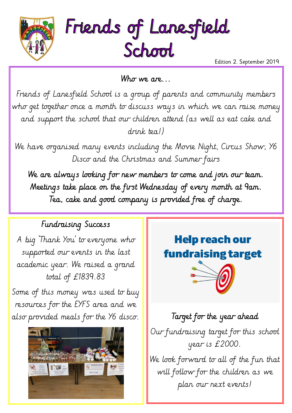



Edition 2. September 2019

Who we are...

Friends of Lanesfield School is a group of parents and community members who get together once a month to discuss ways in which we can raise money and support the school that our children attend (as well as eat cake and drink tea!)

We have organised many events including the Movie Night, Circus Show, Y6 Disco and the Christmas and Summer fairs

We are always looking for new members to come and join our team. Meetings take place on the first Wednesday of every month at 9am. Tea, cake and good company is provided free of charge.

## Fundraising Success

A big 'Thank You' to everyone who supported our events in the last academic year. We raised a grand total of £1839.83

Some of this money was used to buy resources for the EYFS area and we also provided meals for the  $Y6$  disco.  $\|\cdot\|$  Target for the year ahead



## **Help reach our fundraising target**



Our fundraising target for this school year is £2000. We look forward to all of the fun that will follow for the children as we plan our next events!